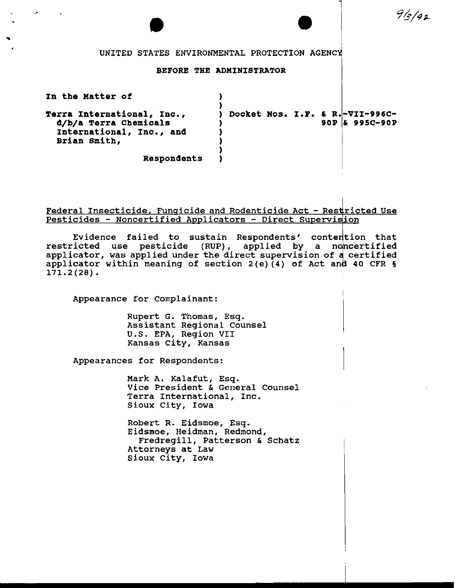$9/5/92$ 

UNITED STATES ENVIRONMENTAL PROTECTION AGENC

### BEFORE THE ADMINISTRATOR

| In the Matter of                                                                                |                                 |                  |
|-------------------------------------------------------------------------------------------------|---------------------------------|------------------|
| Terra International, Inc.,<br>d/b/a Terra Chemicals<br>International, Inc., and<br>Brian Smith, | Docket Nos. I.F. & R.-VII-996C- | $90P$ & 995C-90P |
| Respondents                                                                                     |                                 |                  |

# Federal Insecticide, Fungicide and Rodenticide Act - Restricted Use Pesticides - Noncertified Applicators - Direct Supervision

Evidence failed to sustain Respondents' contention that restricted use pesticide (RUP), applied by a n applicator, was applied under the direct supervision of applicator within meaning of section 2(e)(4) of Act and 40 CFR § 171.2(28). certified certified

Appearance for Complainant:

Rupert G. Thomas, Esq. Assistant Regional Counsel U.S. EPA, Region VII Kansas City, Kansas

Appearances for Respondents:

Mark A. Kalafut, Esq. Vice President & General Counsel Terra International, Inc. Sioux City, Iowa

Robert R. Eidsmoe, Esq. Eidsmoe, Heidman, Redmond, Fredregill, Patterson & Schatz Attorneys at Law Sioux City, Iowa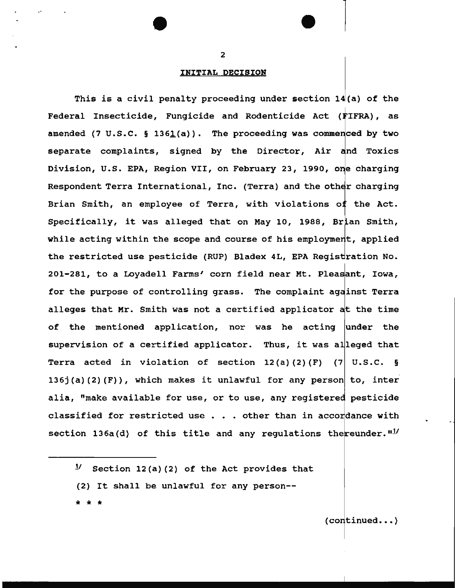## INITIAL DECISION

This is a civil penalty proceeding under section  $14(a)$  of the Federal Insecticide, Fungicide and Rodenticide Act (FIFRA), as amended (7 U.S.C. § 1361 $(a)$ ). The proceeding was commenced by two separate complaints, signed by the Director, Air and Toxics Division, U.S. EPA, Region VII, on February 23, 1990, one charging Respondent Terra International, Inc. (Terra) and the other charging Brian Smith, an employee of Terra, with violations of the Act. Specifically, it was alleged that on May 10, 1988, Brian Smith, while acting within the scope and course of his employment, applied the restricted use pesticide (RUP) Bladex 4L, EPA Registration No. 201-281, to a Loyadell Farms' corn field near Mt. Pleasant, Iowa, for the purpose of controlling grass. The complaint against Terra alleges that Mr. Smith was not a certified applicator at the time of the mentioned application, nor was he acting under the supervision of a certified applicator. Thus, it was alleged that Terra acted in violation of section  $12(a)(2)(F)$  (7 U.S.C. § 136j(a)(2)(F)), which makes it unlawful for any person to, inter alia, "make available for use, or to use, any registered pesticide classified for restricted use  $\ldots$  other than in accordance with section 136a(d) of this title and any regulations the reunder.  $n_1/\sqrt{2}$ 

 $11$  Section 12(a) (2) of the Act provides that

(2) It shall be unlawful for any person--

\* \* \*

 $(continued... )$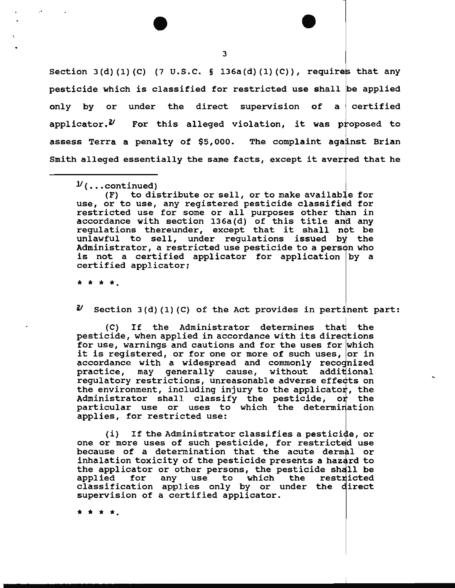Section  $3(d) (1) (C)$  (7 U.S.C. § 136a(d)(1)(C)), requires that any pesticide which is classified for restricted use shall be applied only by or under the direct supervision of a certified applicator. $\mathcal{U}$  For this alleged violation, it was proposed to assess Terra a penalty of \$5,000. The complaint against Brian Smith alleged essentially the same facts, except it averred that he

(F) to distribute or sell, or to make available for use, or to use, any registered pesticide classified for restricted use for some or all purposes other than in accordance with section 136a(d) of this title and any regulations thereunder, except that it shall not be unlawful to sell, under regulations issued by the Administrator, a restricted use pesticide to a person who is not a certified applicator for application  $|$  by a certified applicator;

\* \* \* \*·

 $\mathcal{U}$  Section 3(d)(1)(C) of the Act provides in pertinent part:

(C) If the Administrator determines that the pesticide, when applied in accordance with its directions for use, warnings and cautions and for the uses for which it is registered, or for one or more of such uses, or in accordance with a widespread and commonly recognized practice, may generally cause, without additional regulatory restrictions, unreasonable adverse effects on the environment, including injury to the applicator, the Administrator shall classify the pesticide, or the particular use or uses to which the determination applies, for restricted use:

 $(i)$  If the Administrator classifies a pesticide, or one or more uses of such pesticide, for restricted use because of a determination that the acute dermal or inhalation toxicity of the pesticide presents a hazard to the applicator or other persons, the pesticide shall be applied for any use to which the restricted applied for any use to which the restricted<br>classification applies only by or under the direct supervision of a certified applicator.

\* \* \* \*·

 $\nu$ (...continued)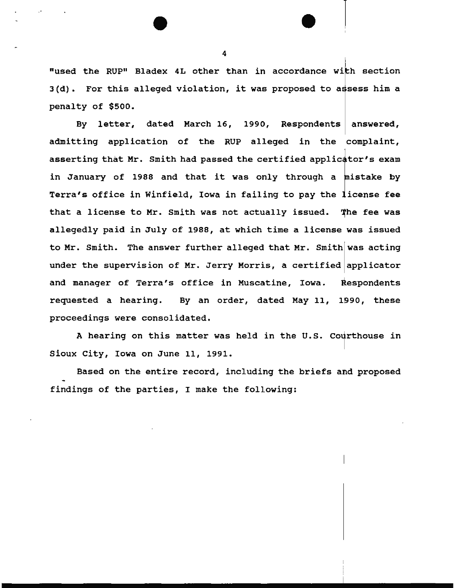"used the RUP" Bladex 4L other than in accordance with section  $3(d)$ . For this alleged violation, it was proposed to assess him a penalty of \$500.

By letter, dated March 16, 1990, Respondents admitting application of the RUP alleged in the complaint, answered, asserting that Mr. Smith had passed the certified applicator's exam in January of 1988 and that it was only through a mistake by Terra's office in Winfield, Iowa in failing to pay the license fee that a license to Mr. Smith was not actually issued. The fee was allegedly paid in July of 1988, at which time a license was issued to Mr. Smith. The answer further alleged that Mr. Smith was acting under the supervision of Mr. Jerry Morris, a certified applicator and manager of Terra's office in Muscatine, Iowa. Respondents requested a hearing. By an order, dated May 11, these proceedings were consolidated.

A hearing on this matter was held in the U.S. Courthouse in Sioux City, Iowa on June 11, 1991.

Based on the entire record, including the briefs and proposed findings of the parties, I make the following:

4

 $\vert$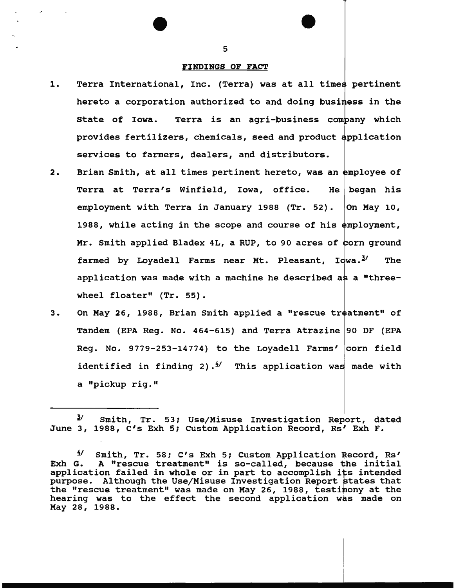#### FINDINGS OF FACT

- 1. Terra International, Inc. (Terra) was at all times pertinent hereto a corporation authorized to and doing business in the State of Iowa. Terra is an agri-business company which provides fertilizers, chemicals, seed and product services to farmers, dealers, and distributors.
- 2. Brian Smith, at all times pertinent hereto, was an employee of Terra at Terra's Winfield, Iowa, office. He began his employment with Terra in January 1988 (Tr. 52). On May 10, 1988, while acting in the scope and course of his employment, Mr. Smith applied Bladex 4L, a RUP, to 90 acres of corn ground farmed by Lovadell Farms near Mt. Pleasant, Iowa. $^{\mathcal{Y}}$  The application was made with a machine he described as a "threewheel floater" (Tr. 55).
- 3. On May 26, 1988, Brian Smith applied a "rescue treatment" of Tandem (EPA Reg. No. 464-615) and Terra Atrazine 90 DF (EPA Reg. No. 9779-253-14774) to the Loyadell Farms' corn field identified in finding 2).<sup> $\frac{4}{1}$ </sup> This application was made with a "pickup rig."

 $3'$  Smith, Tr. 53; Use/Misuse Investigation Report, dated June 3, 1988, C's Exh 5; Custom Application Record, Rs' Exh F.

<sup>&</sup>lt;sup>4</sup>/ Smith, Tr. 58; C's Exh 5; Custom Application Record, Rs' Exh G. A "rescue treatment" is so-called, because the initial application failed in whole or in part to accomplish its intended purpose. Although the Use/Misuse Investigation Report states that the "rescue treatment" was made on May 26, 1988, testimony at the hearing was to the effect the second application was made on May 28, 1988.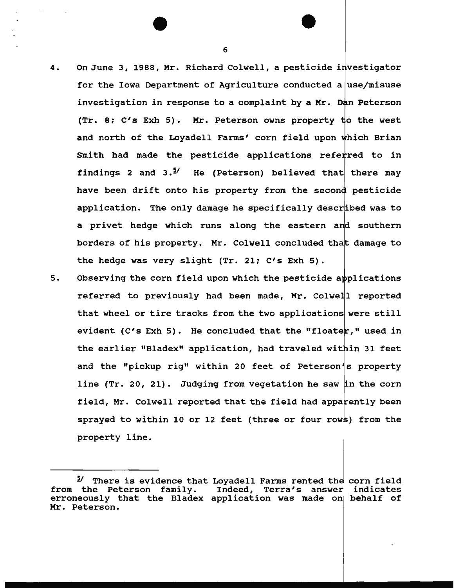- 4. On June 3, 1988, Mr. Richard Colwell, a pesticide investigator for the Iowa Department of Agriculture conducted a use/misuse investigation in response to a complaint by a Mr. Dan Peterson  $(Tr. 8; C's Exh 5)$ . Mr. Peterson owns property to the west and north of the Loyadell Farms' corn field upon which Brian Smith had made the pesticide applications referred to in findings 2 and  $3.5$ <sup>1</sup> He (Peterson) believed that there may have been drift onto his property from the second pesticide application. The only damage he specifically described was to a privet hedge which runs along the eastern and southern borders of his property. Mr. Colwell concluded that damage to the hedge was very slight (Tr. 21; C's Exh 5).
- 5. Observing the corn field upon which the pesticide a referred to previously had been made, Mr. Colwell reported that wheel or tire tracks from the two applications were still evident (C's Exh 5). He concluded that the "floate $r$ ," used in the earlier "Bladex" application, had traveled within 31 feet and the "pickup rig" within 20 feet of Peterson's property line (Tr. 20, 21). Judging from vegetation he saw in the corn field, Mr. Colwell reported that the field had apparently been sprayed to within 10 or 12 feet (three or four rows) from the property line.

<sup>&</sup>lt;sup>2</sup>/ There is evidence that Loyadell Farms rented the corn field from the Peterson family. Indeed, Terra's answer erroneously that the Bladex application was made on behalf of Mr. Peterson. indicates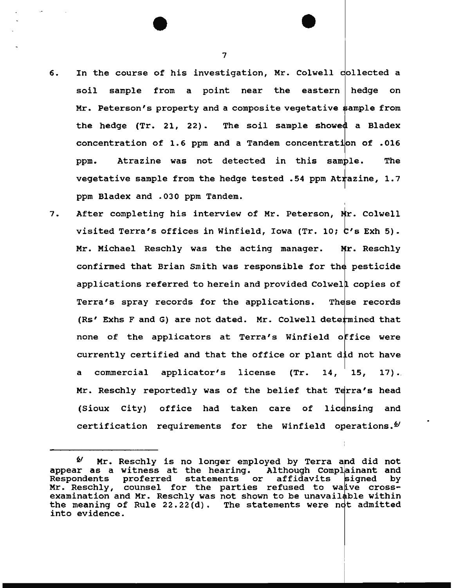- 6. In the course of his investigation, Mr. Colwell collected a soil sample from a point near the eastern hedge on Mr. Peterson's property and a composite vegetative ample from the hedge  $(Tr. 21, 22)$ . The soil sample showed a Bladex concentration of 1.6 ppm and a Tandem concentration of .016 ppm. Atrazine was not detected in this sample. The vegetative sample from the hedge tested .54 ppm At $\tt{t}$ azine, 1.7 ppm Bladex and .030 ppm Tandem.
- 7. After completing his interview of Mr. Peterson, Mr. Colwell visited Terra's offices in Winfield, Iowa (Tr. 10;  $C'$ s Exh 5). Mr. Michael Reschly was the acting manager. Mr. Reschly confirmed that Brian Smith was responsible for the pesticide applications referred to herein and provided Colwell copies of Terra's spray records for the applications. These records (Rs' Exhs F and G) are not dated. Mr. Colwell determined that none of the applicators at Terra's Winfield office were currently certified and that the office or plant did not have a commercial applicator's license (Tr. 14,  $15, 17$ . Mr. Reschly reportedly was of the belief that Terra's head (Sioux City) office had taken care of licensing and certification requirements for the Winfield operations. $\mathfrak{g}$

 $4'$  Mr. Reschly is no longer employed by Terra and did not appear as a witness at the hearing. Although Complainant and<br>Respondents proferred statements or affidavits signed by Respondents proferred statements or affidavits Mr. Reschly, counsel for the parties refused to waive crossexamination and Mr. Reschly was not shown to be unavailable within the meaning of Rule  $22.22(d)$ . The statements were not admitted into evidence.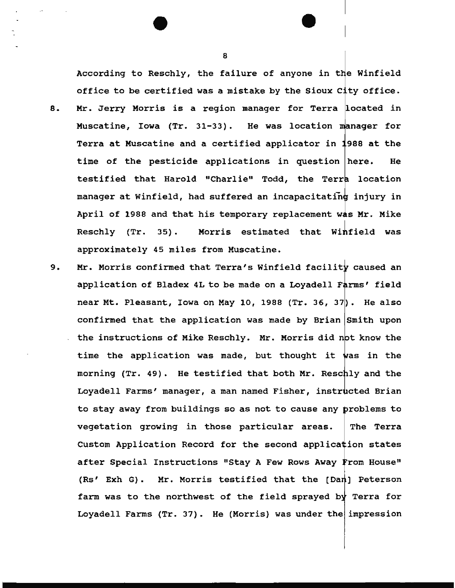According to Reschly, the failure of anyone in the Winfield office to be certified was a mistake by the Sioux City office. 8. Mr. Jerry Morris is a region manager for Terra located in Muscatine, Iowa  $(Tr. 31-33)$ . He was location manager for Terra at Muscatine and a certified applicator in 1988 at the time of the pesticide applications in question here. He testified that Harold "Charlie" Todd, the Terra location manager at Winfield, had suffered an incapacitating injury in April of 1988 and that his temporary replacement was Mr. Mike  $Reschly$  (Tr. 35). Morris estimated that Winfield was approximately 45 miles from Muscatine.

9. Mr. Morris confirmed that Terra's Winfield facility caused an application of Bladex 4L to be made on a Loyadell Farms' field near Mt. Pleasant, Iowa on May 10, 1988  $(Tr. 36, 37)$ . He also confirmed that the application was made by Brian Smith upon the instructions of Mike Reschly. Mr. Morris did not know the time the application was made, but thought it was in the morning (Tr. 49). He testified that both Mr. Reschly and the Loyadell Farms' manager, a man named Fisher, instructed Brian to stay away from buildings so as not to cause any problems to vegetation growing in those particular areas. The Terra Custom Application Record for the second application states after Special Instructions "Stay A Few Rows Away From House" (Rs' Exh G). Mr. Morris testified that the  $[Da n]$  Peterson farm was to the northwest of the field sprayed by Terra for Loyadell Farms  $(Tr. 37)$ . He (Morris) was under the impression

8

1<br>1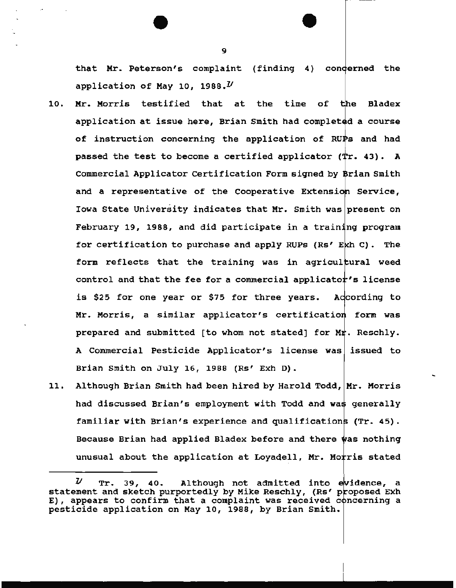that Mr. Peterson's complaint (finding 4) concerned the application of May 10, 1988. $U$ 

- 10. Mr. Morris testified that at the time of application at issue here, Brian Smith had completed a course **Bladex** of instruction concerning the application of RUPs and had passed the test to become a certified applicator  $(Tr. 43)$ . A Commercial Applicator Certification Form signed by Brian Smith and a representative of the Cooperative Extension Service, Iowa State University indicates that Mr. Smith was present on February 19, 1988, and did participate in a training program for certification to purchase and apply RUPs (Rs' Ekh C). The form reflects that the training was in agricultural weed control and that the fee for a commercial applicator's license is \$25 for one year or \$75 for three years. Adcording to Mr. Morris, a similar applicator's certification form was prepared and submitted [to whom not stated] for  $Mr$ . Reschly. A Commercial Pesticide Applicator's license was issued to Brian Smith on July 16, 1988 (Rs' Exh D).
- 11. Although Brian Smith had been hired by Harold Todd, Mr. Morris had discussed Brian's employment with Todd and was generally familiar with Brian's experience and qualifications (Tr. 45). Because Brian had applied Bladex before and there was nothing unusual about the application at Loyadell, Mr. Morris stated

 $U$  Tr. 39, 40. Although not admitted into evidence, a statement and sketch purportedly by Mike Reschly, (Rs' proposed Exh E), appears to confirm that a complaint was received concerning a pesticide application on May 10, 1988, by Brian Smith.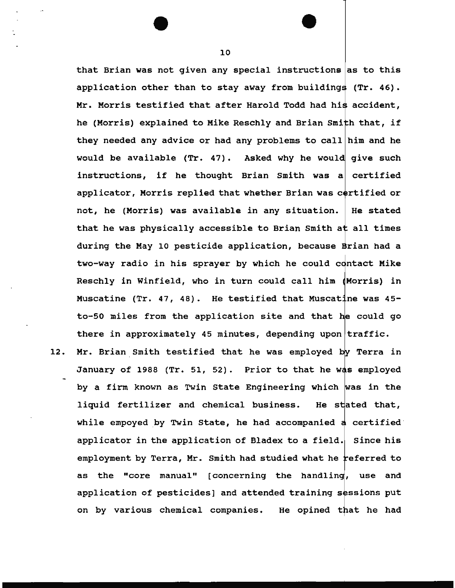that Brian was not given any special instructions as to this application other than to stay away from buildings  $(Tr. 46)$ . Mr. Morris testified that after Harold Todd had his accident, he (Morris) explained to Mike Reschly and Brian Smith that, if they needed any advice or had any problems to call  $\ln m$  and he would be available  $(Tr. 47)$ . Asked why he would give such instructions, if he thought Brian Smith was a certified applicator, Morris replied that whether Brian was certified or not, he (Morris) was available in any situation. that he was physically accessible to Brian Smith at all times He stated during the May 10 pesticide application, because Brian had a two-way radio in his sprayer by which he could contact Mike Reschly in Winfield, who in turn could call him Morris) in Muscatine (Tr. 47, 48). He testified that Muscatine was  $45$ to-50 miles from the application site and that there in approximately 45 minutes, depending upon traffic.

12. Mr. Brian Smith testified that he was employed by Terra in January of 1988 (Tr. 51, 52). Prior to that he was employed by a firm known as Twin State Engineering which was in the liquid fertilizer and chemical business. He stated that, while empoyed by Twin State, he had accompanied  $d$  certified applicator in the application of Bladex to a field. Since his employment by Terra, Mr. Smith had studied what he referred to as the "core manual" [concerning the handling, use and application of pesticides] and attended training sessions put on by various chemical companies. He opined that he had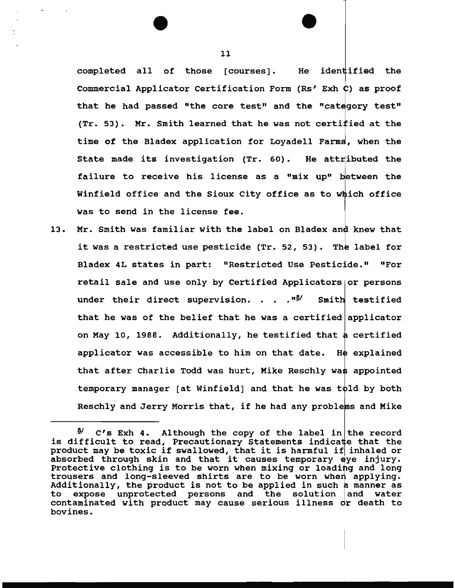completed all of those [courses]. He identified the Commercial Applicator Certification Form (Rs' Exh  $C$ ) as proof that he had passed "the core test" and the "category test" (Tr. 53).  $\,$  Mr. Smith learned that he was not certi $\dot {\bf f}$ ied at the time of the Bladex application for Loyadell Farms, when the State made its investigation (Tr. 60). He attributed the failure to receive his license as a "mix up" between the Winfield office and the Sioux City office as to which office was to send in the license fee.

13. Mr. Smith was familiar with the label on Bladex and knew that it was a restricted use pesticide (Tr. 52, 53). The label for Bladex 4L states in part: "Restricted Use Pesticide." "For retail sale and use only by Certified Applicators or persons under their direct supervision. . . . "<sup>9</sup> Smith testified that he was of the belief that he was a certified applicator on May 10, 1988. Additionally, he testified that a certified applicator was accessible to him on that date. He explained that after Charlie Todd was hurt, Mike Reschly was appointed temporary manager [at Winfield] and that he was told by both Reschly and Jerry Morris that, if he had any problems and Mike

•

 $\frac{3}{2}$  C's Exh 4. Although the copy of the label in the record is difficult to read, Precautionary Statements indicate that the is difficult to read, Precautionary Statements indicate that the<br>product may be toxic if swallowed, that it is harmful if inhaled or product may be toxic if swallowed, that it is harmful if inhaled or<br>absorbed through skin and that it causes temporary eye injury. Protective clothing is to be worn when mixing or loading and long trousers and long-sleeved shirts are to be worn when applying. Additionally, the product is not to be applied in such a manner as to expose unprotected persons and the solution and water contaminated with product may cause serious illness or death to bovines.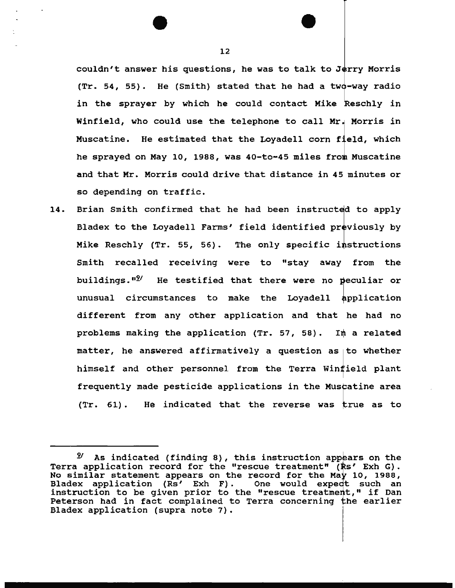couldn't answer his questions, he was to talk to Jerry Morris  $(Tr. 54, 55)$ . He (Smith) stated that he had a two-way radio in the sprayer by which he could contact Mike Reschly in Winfield, who could use the telephone to call Mr. Morris in Muscatine. He estimated that the Loyadell corn field, which he sprayed on May 10, 1988, was 40-to-45 miles from Muscatine and that Mr. Morris could drive that distance in 45 minutes or so depending on traffic.

14. Brian Smith confirmed that he had been instructed to apply Bladex to the Loyadell Farms' field identified previously by Mike Reschly (Tr. 55, 56). The only specific instructions Smith recalled receiving were to "stay away from the buildings.  $n2'$  He testified that there were no peculiar or unusual circumstances to make the Loyadell application different from any other application and that he had no problems making the application (Tr. 57, 58). In a related matter, he answered affirmatively a question as to whether himself and other personnel from the Terra Winfield plant frequently made pesticide applications in the Muscatine area  $(Tr. 61)$ . He indicated that the reverse was true as to

<sup>&</sup>lt;sup>2</sup>/ As indicated (finding 8), this instruction appears on the Terra application record for the "rescue treatment" (Rs' Exh G). No similar statement appears on the record for the May 10, 1988, Bladex application (Rs' Exh F). One would expect such an instruction to be given prior to the "rescue treatment," if Dan Peterson had in fact complained to Terra concerning the earlier Bladex application (supra note 7).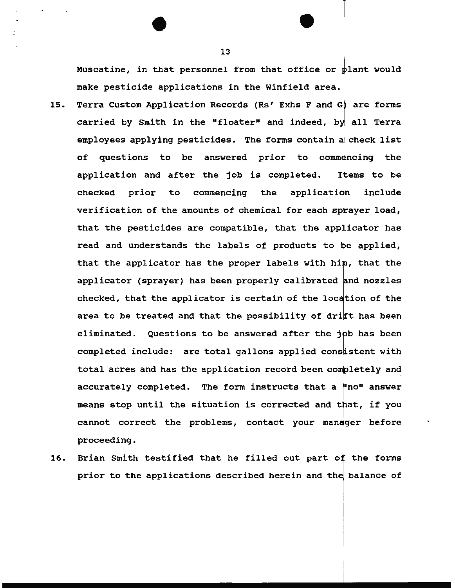Muscatine, in that personnel from that office or  $plane$  would make pesticide applications in the Winfield area.

- 15. Terra Custom Application Records (Rs' Exhs F and G) are forms carried by Smith in the "floater" and indeed, by all Terra employees applying pesticides. The forms contain a check list of questions to be answered prior to commencing the application and after the job is completed. Items to be checked prior to commencing the application include verification of the amounts of chemical for each sprayer load, that the pesticides are compatible, that the applicator has read and understands the labels of products to be applied, that the applicator has the proper labels with him, that the applicator (sprayer) has been properly calibrated nd nozzles checked, that the applicator is certain of the location of the area to be treated and that the possibility of drift has been eliminated. Questions to be answered after the job has been completed include: are total gallons applied consistent with total acres and has the application record been completely and accurately completed. The form instructs that a "no" answer means stop until the situation is corrected and that, if you cannot correct the problems, contact your manager before proceeding.
- 16. Brian Smith testified that he filled out part of the forms prior to the applications described herein and the balance of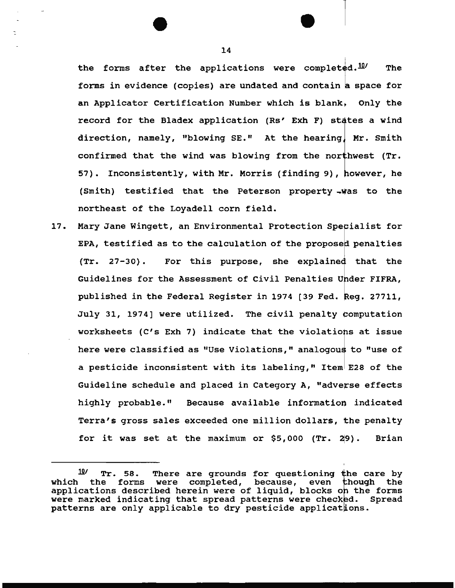the forms after the applications were completed. $^{10}$  The forms in evidence (copies) are undated and contain a space for an Applicator Certification Number which is blank, Only the record for the Bladex application (Rs' Exh F) states a wind direction, namely, "blowing SE." At the hearing, Mr. Smith confirmed that the wind was blowing from the northwest (Tr. 57). Inconsistently, with Mr. Morris (finding 9), however, he (Smith) testified that the Peterson property northeast of the Loyadell corn field.

17. Mary Jane Wingett, an Environmental Protection Specialist for EPA, testified as to the calculation of the proposed penalties  $(Tr. 27-30)$ . For this purpose, she explained that the Guidelines for the Assessment of Civil Penalties Under FIFRA, published in the Federal Register in 1974 [39 Fed. Reg. 27711, July 31, 1974] were utilized. The civil penalty computation worksheets (C's Exh 7) indicate that the violations at issue here were classified as "Use Violations," analogous to "use of a pesticide inconsistent with its labeling," Item E28 of the Guideline schedule and placed in Category A, "adverse effects highly probable." Because available information indicated Terra's gross sales exceeded one million dollars, the penalty for it was set at the maximum or \$5,000 (Tr. 29). Brian

 $10$  Tr. 58. There are grounds for questioning the care by which the forms were completed, because, even though the applications described herein were of liquid, blocks on the forms were marked indicating that spread patterns were checked. Spread patterns are only applicable to dry pesticide applications.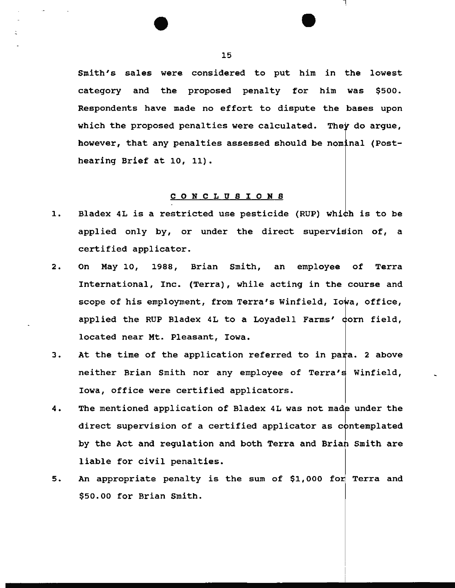Smith's sales were considered to put him in the lowest category and the proposed penalty for him was \$500. Respondents have made no effort to dispute the bases upon which the proposed penalties were calculated. They do argue, however, that any penalties assessed should be nominal (Posthearing Brief at 10, 11).

#### C 0 N C L U 8 I 0 N 8

- 1. Bladex 4L is a restricted use pesticide (RUP) which is to be applied only by, or under the direct supervision of, a certified applicator.
- 2. On May 10, 1988, Brian Smith, an employee of Terra International, Inc. (Terra), while acting in the course and scope of his employment, from Terra's Winfield, Iowa, office, applied the RUP Bladex 4L to a Loyadell Farms' dorn field, located near Mt. Pleasant, Iowa.
- 3. At the time of the application referred to in para. 2 above neither Brian Smith nor any employee of Terra's Winfield, Iowa, office were certified applicators.
- 4. The mentioned application of Bladex 4L was not made under the direct supervision of a certified applicator as  $\mathop{\mathrm{c}}\nolimits$  ontemplated by the Act and regulation and both Terra and Brian Smith are liable for civil penalties.
- 5. An appropriate penalty is the sum of \$1,000 for Terra and \$50.00 for Brian Smith.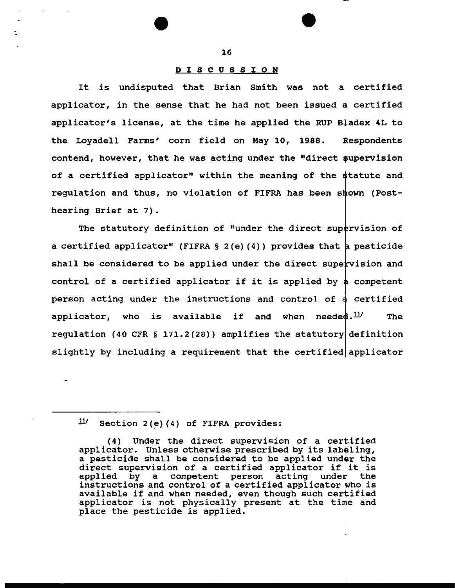#### D I 8 C U 8 8 I O N

It is undisputed that Brian Smith was not a certified applicator, in the sense that he had not been issued a certified applicator's license, at the time he applied the RUP Bladex 4L to the Loyadell Farms' corn field on May 10, 1988. Respondents contend, however, that he was acting under the "direct supervision of a certified applicator" within the meaning of the statute and regulation and thus, no violation of FIFRA has been s hearing Brief at 7).

The statutory definition of "under the direct supervision of a certified applicator" (FIFRA  $\S$  2(e)(4)) provides that a pesticide shall be considered to be applied under the direct supervision and control of a certified applicator if it is applied by a competent person acting under the instructions and control of a certified applicator, who is available if and when needed.<sup>11/</sup> The regulation (40 CFR § 171.2(28)) amplifies the statutory definition slightly by including a requirement that the certified applicator

 $\frac{11}{11}$  Section 2(e)(4) of FIFRA provides:

<sup>(4)</sup> Under the direct supervision of a certified applicator. Unless otherwise prescribed by its labeling, a pesticide shall be considered to be applied under the direct supervision of a certified applicator if it is applied by a competent person acting under the competent person acting under instructions and control of a certified applicator who is available if and when needed, even though such certified applicator is not physically present at the time and place the pesticide is applied.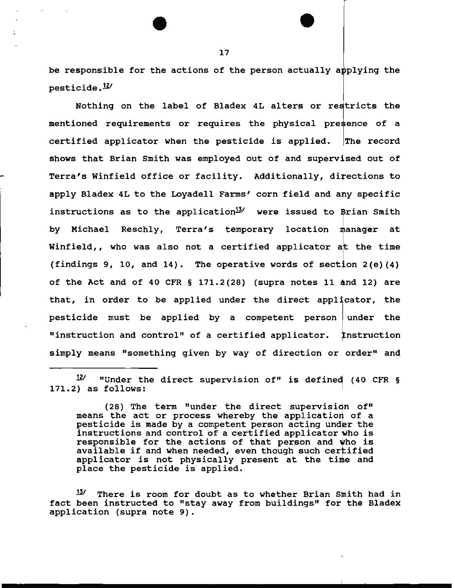be responsible for the actions of the person actually applying the  $p$ esticide. $^{12/1}$ 

Nothing on the label of Bladex 4L alters or restricts the mentioned requirements or requires the physical presence of a certified applicator when the pesticide is applied. The record shows that Brian Smith was employed out of and supervised out of Terra's Winfield office or facility. Additionally, directions to apply Bladex 4L to the Loyadell Farms' corn field and any specific instructions as to the application $^{13}$  were issued to Brian Smith by Michael Reschly, Terra's temporary location manager at Winfield,, who was also not a certified applicator at the time (findings 9, 10, and 14). The operative words of section  $2(e)(4)$ of the Act and of 40 CFR  $\S$  171.2(28) (supra notes 11 and 12) are that, in order to be applied under the direct applicator, the pesticide must be applied by a competent person under the "instruction and control" of a certified applicator. Instruction simply means "something given by way of direction or order" and

 $121$  "Under the direct supervision of" is defined (40 CFR § 171.2) as follows:

<sup>(28)</sup> The term "under the direct supervision of" means the act or process whereby the application of a means the act of process whereby the apprication of a<br>pesticide is made by a competent person acting under the instructions and control of a certified applicator who is responsible for the actions of that person and who is available if and when needed, even though such certified applicator is not physically present at the time and place the pesticide is applied.

 $13'$  There is room for doubt as to whether Brian Smith had in fact been instructed to "stay away from buildings" for the Bladex application (supra note 9).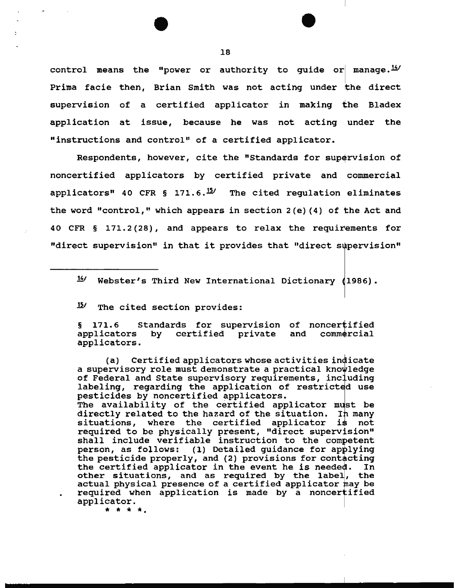control means the "power or authority to guide or manage. $\frac{14}{3}$ Prima facie then, Brian Smith was not acting under the direct supervision of a certified applicator in making the Bladex application at issue, because he was not acting under the "instructions and control" of a certified applicator.

Respondents, however, cite the "Standards for supervision of noncertified applicators by certified private and commercial applicators<sup>#</sup> 40 CFR § 171.6.<sup>15</sup>/ The cited regulation eliminates the word "control," which appears in section  $2(e)$  (4) of the Act and 40 CFR  $\S$  171.2(28), and appears to relax the requirements for "direct supervision" in that it provides that "direct supervision"

 $1/4$  Webster's Third New International Dictionary (1986).

 $15$  The cited section provides:

§ 171.6 Standards for supervision of noncertified § 171.6 Standards for supervision<br>applicators by certified private applicators. and commercial

(a) Certified applicators whose activities in a supervisory role must demonstrate a practical kno of Federal and State supervisory requirements, including labeling, regarding the application of restricted use pesticides by noncertified applicators.

The availability of the certified applicator must be directly related to the hazard of the situation. In many situations, where the certified applicator is not required to be physically present, "direct supervision" shall include verifiable instruction to the competent person, as follows: (1) Detailed guidance for applying the pesticide properly, and (2) provisions for contacting the certified applicator in the event he is needed. In other situations, and as required by the label, the actual physical presence of a certified applicator may be required when application is made by a noncertified applicator.

\* \* \* \*·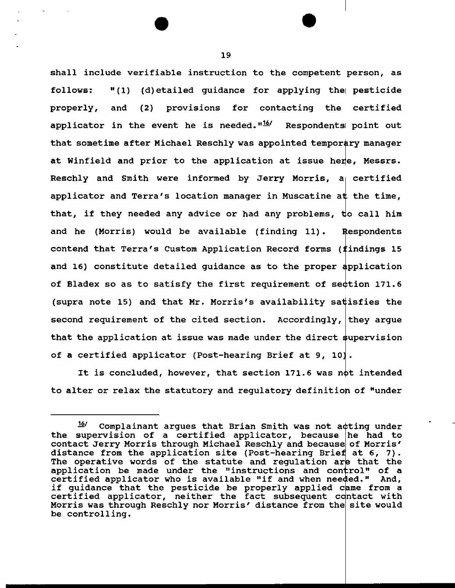shall include verifiable instruction to the competent person, as follows:  $''(1)$  (d) etailed quidance for applying the pesticide properly, and (2) provisions for contacting the certified applicator in the event he is needed.  $n\frac{16}{}$  Respondents point out that sometime after Michael Reschly was appointed temporary manager at Winfield and prior to the application at issue here, Messrs. Reschly and Smith were informed by Jerry Morris,  $a \in \mathbb{R}$  certified applicator and Terra's location manager in Muscatine at the time, that, if they needed any advice or had any problems, and he (Morris) would be available (finding 11). contend that Terra's Custom Application Record forms ( $\widehat{\mathsf{f}}$ indings 15 and 16) constitute detailed guidance as to the proper application of Bladex so as to satisfy the first requirement of section 171.6 (supra note 15) and that Mr. Morris's availability sa $\sharp$ isfies the **Respondents** second requirement of the cited section. Accordingly, they argue that the application at issue was made under the direct supervision of a certified applicator (Post-hearing Brief at 9, 10).

It is concluded, however, that section 171.6 was not intended to alter or relax the statutory and regulatory definition of "under

<sup>16/</sup> Complainant argues that Brian Smith was not acting under the supervision of a certified applicator, because he had to contact Jerry Morris through Michael Reschly and because of Morris' distance from the application site (Post-hearing Brief at  $6, 7$ ). The operative words of the statute and regulation are that the application be made under the "instructions and control" of a certified applicator who is available "if and when needed." And, if guidance that the pesticide be properly applied came from a certified applicator, neither the fact subsequent contact with Morris was through Reschly nor Morris' distance from the site would be controlling.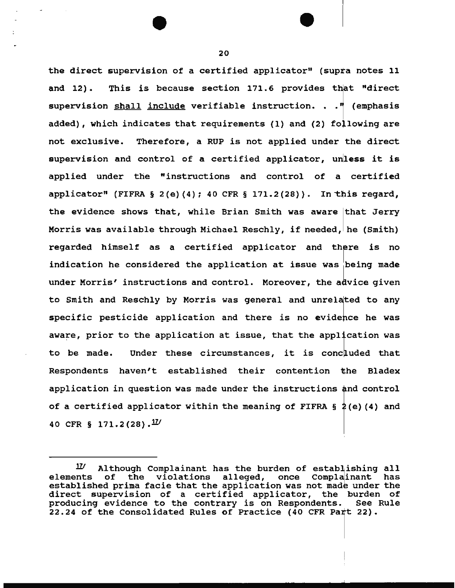the direct supervision of a certified applicator" (supra notes 11 and 12). This is because section 171.6 provides that "direct supervision shall include verifiable instruction. . ." (emphasis added), which indicates that requirements (1) and (2) following are not exclusive. Therefore, a RUP is not applied under the direct supervision and control of a certified applicator, unless it is applied under the "instructions and control of a certified applicator" (FIFRA § 2(e)(4); 40 CFR § 171.2(28)). In this regard, the evidence shows that, while Brian Smith was aware that Jerry Morris was available through Michael Reschly, if needed, he (Smith) regarded himself as a certified applicator and there is no indication he considered the application at issue was being made under Morris' instructions and control. Moreover, the advice given to Smith and Reschly by Morris was general and unrelated to any specific pesticide application and there is no evidence he was aware, prior to the application at issue, that the application was to be made. Under these circumstances, it is concluded that Respondents haven't established their contention the Bladex application in question was made under the instructions and control of a certified applicator within the meaning of FIFRA  $\S$  2(e)(4) and 40 CFR § 171.2(28). $^{17\prime}$ 

 $11$  Although Complainant has the burden of establishing all elements of the violations alleged, once Complainant has the violations alleged, once Complainant has established prima facie that the application was not made under the direct supervision of a certified applicator, the burden of<br>producing evidence to the contrary is on Respondents. See Rule producing evidence to the contrary is on Respondents. 22.24 of the Consolidated Rules of Practice (40 CFR Part 22).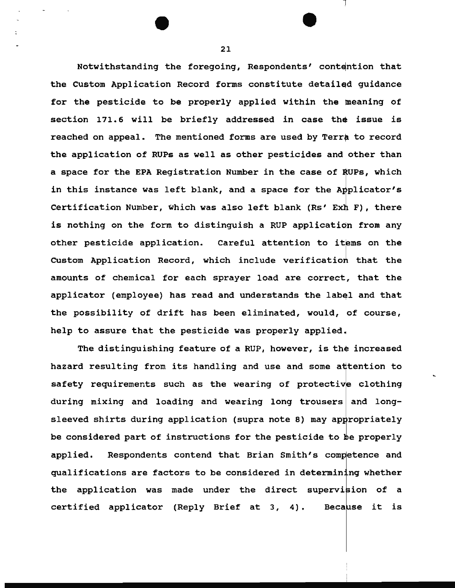Notwithstanding the foregoing, Respondents' contention that the custom Application Record forms constitute detail for the pesticide to be properly applied within the meaning of section 171.6 will be briefly addressed in case the issue is reached on appeal. The mentioned forms are used by Terra to record the application of RUPs as well as other pesticides and other than a space for the EPA Registration Number in the case of RUPs, which in this instance was left blank, and a space for the Applicator's Certification Number, which was also left blank (Rs' Exh F), there is nothing on the form to distinguish a RUP application from any other pesticide application. Careful attention to items on the Custom Application Record, which include verification that the amounts of chemical for each sprayer load are correct, that the applicator (employee) has read and understands the label and that the possibility of drift has been eliminated, would, of course, help to assure that the pesticide was properly applied.

The distinguishing feature of a RUP, however, is the increased hazard resulting from its handling and use and some attention to safety requirements such as the wearing of protective clothing during mixing and loading and wearing long trousers and longsleeved shirts during application (supra note 8) may appropriately be considered part of instructions for the pesticide to be properly applied. Respondents contend that Brian Smith's competence and qualifications are factors to be considered in determining whether the application was made under the direct supervision of a certified applicator (Reply Brief at  $3, 4$ ). Because it is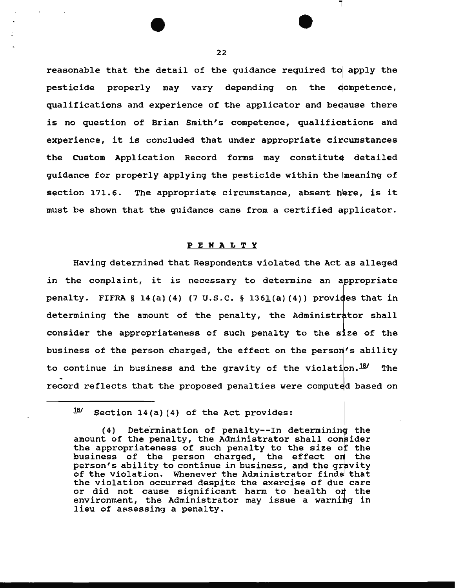reasonable that the detail of the guidance required to apply the pesticide properly may vary depending on the ompetence, qualifications and experience of the applicator and beqause there is no question of Brian Smith's competence, qualifications and experience, it is concluded that under appropriate circumstances the Custom Application Record forms may constitute detailed guidance for properly applying the pesticide within the meaning of section  $171.6$ . The appropriate circumstance, absent here, is it must be shown that the guidance came from a certified applicator.

## PENALTY

Having determined that Respondents violated the Act as alleged in the complaint, it is necessary to determine an ppropriate penalty. FIFRA § 14(a)(4) (7 U.S.C. § 1361(a)(4)) provides that in determining the amount of the penalty, the Administrator shall consider the appropriateness of such penalty to business of the person charged, the effect on the person's ability to continue in business and the gravity of the violation.  $18/2$  The record reflects that the proposed penalties were computed based on

 $18'$  Section 14(a) (4) of the Act provides:

<sup>(4)</sup> Determination of penalty--In determining the amount of the penalty, the Administrator shall consider the appropriateness of such penalty to the size of the business of the person charged, the effect on the person's ability to continue in business, and the gravity of the violation. Whenever the Administrator finds that the violation occurred despite the exercise of due care or did not cause significant harm to health or the environment, the Administrator may issue a warning in lieu of assessing a penalty.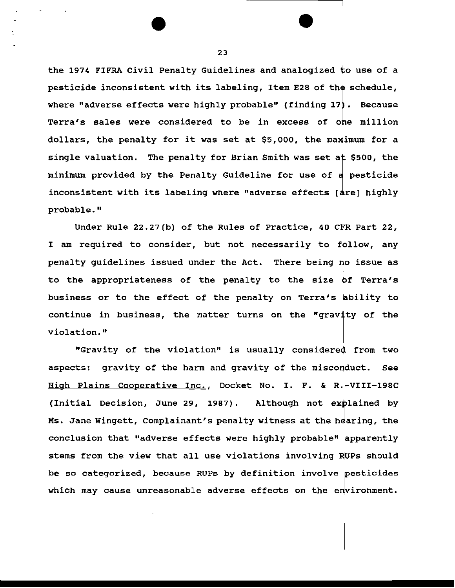the 1974 FIFRA Civil Penalty Guidelines and analogized to use of a pesticide inconsistent with its labeling, Item E28 of the schedule, where "adverse effects were highly probable" (finding  $17$ ). Because Terra's sales were considered to be in excess of one million dollars, the penalty for it was set at  $$5,000$ , the maximum for a single valuation. The penalty for Brian Smith was set at \$500, the minimum provided by the Penalty Guideline for use of a pesticide inconsistent with its labeling where "adverse effects [are] highly probable."

Under Rule  $22.27(b)$  of the Rules of Practice, 40 CFR Part 22, I am required to consider, but not necessarily to follow, any penalty guidelines issued under the Act. There being no issue as to the appropriateness of the penalty to the size of Terra's business or to the effect of the penalty on Terra's ability to continue in business, the matter turns on the "gravity of the violation."

"Gravity of the violation" is usually considered from two aspects: gravity of the harm and gravity of the misconduct. See High Plains Cooperative Inc., Docket No. I. F. & R.-VIII-198C (Initial Decision, June 29, 1987). Although not explained by Ms. Jane Wingett, Complainant's penalty witness at the hearing, the conclusion that "adverse effects were highly probable" apparently stems from the view that all use violations involving RUPs should be so categorized, because RUPs by definition involve pesticides which may cause unreasonable adverse effects on the environment.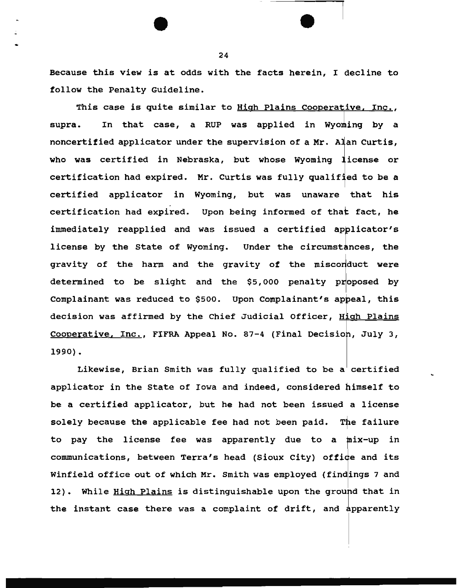Because this view is at odds with the facts herein, I decline to follow the Penalty Guideline.

This case is quite similar to <u>High Plains Cooperative, Inc.</u>, supra. In that case, a RUP was applied in Wyoming by a noncertified applicator under the supervision of a Mr. Alan Curtis, who was certified in Nebraska, but whose Wyoming license or certification had expired. Mr. Curtis was fully qualified to be a certified applicator in Wyoming, but was unaware that his certification had expired. Upon being informed of that fact, he immediately reapplied and was issued a certified applicator's license by the State of Wyoming. Under the circumstances, the gravity of the harm and the gravity of the misconduct were determined to be slight and the \$5,000 penalty proposed by Complainant was reduced to \$500. Upon Complainant's decision was affirmed by the Chief Judicial Officer, High Plains Cooperative, Inc., FIFRA Appeal No. 87-4 (Final Decision, July 3, 1990).

Likewise, Brian Smith was fully qualified to be a certified applicator in the State of Iowa and indeed, considered himself to be a certified applicator, but he had not been issued a license solely because the applicable fee had not been paid. The failure to pay the license fee was apparently due to a mix-up in communications, between Terra's head (Sioux City) office and its Winfield office out of which Mr. Smith was employed (find<mark>ings 7 and</mark> 12). While High Plains is distinguishable upon the ground that in the instant case there was a complaint of drift, and apparently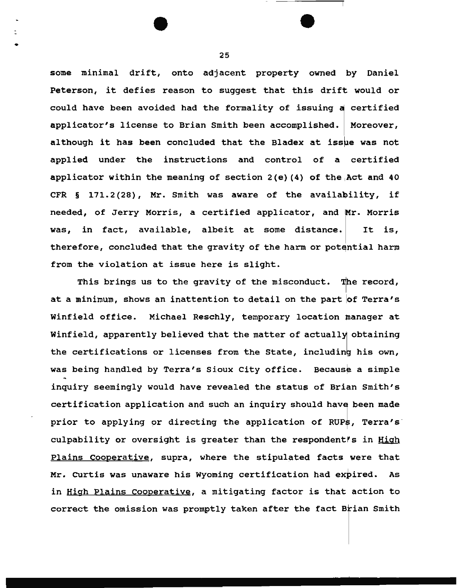some minimal drift, onto adjacent property owned by Daniel Peterson, it defies reason to suggest that this drift would or could have been avoided had the formality of issuing a certified applicator's license to Brian Smith been accomplished. | Moreover, although it has been concluded that the Bladex at issue was not applied under the instructions and control of a certified applicator within the meaning of section  $2(e)$  (4) of the Act and 40 CFR  $\S$  171.2(28), Mr. Smith was aware of the availability, if needed, of Jerry Morris, a certified applicator, and Mr. Morris was, in fact, available, albeit at some distance. It is, therefore, concluded that the gravity of the harm or potential harm from the violation at issue here is slight.

This brings us to the gravity of the misconduct. The record, at a minimum, shows an inattention to detail on the part of Terra's Winfield office. Michael Reschly, temporary location manager at Winfield, apparently believed that the matter of actually obtaining the certifications or licenses from the State, including his own, was being handled by Terra's Sioux City office. Because a simple inquiry seemingly would have revealed the status of Brian Smith's certification application and such an inquiry should have been made prior to applying or directing the application of RUP\$, Terra's. culpability or oversight is greater than the respondent's in **High** Plains Cooperative, supra, where the stipulated facts were that Mr. Curtis was unaware his Wyoming certification had expired. As in High Plains Cooperative, a mitigating factor is that action to correct the omission was promptly taken after the fact Brian Smith

25

•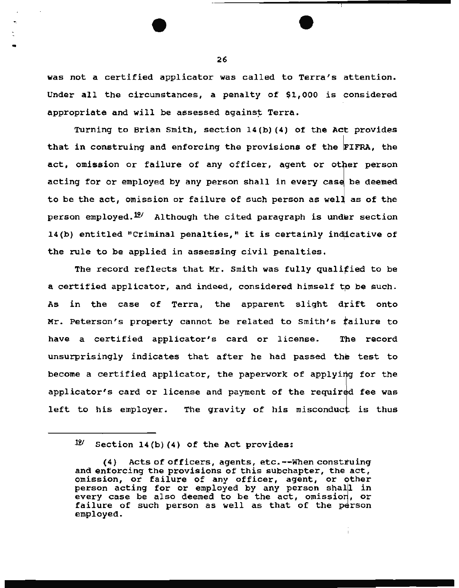was not a certified applicator was called to Terra's attention. Under all the circumstances, a penalty of \$1,000 is considered appropriate and will be assessed against Terra.

Turning to Brian Smith, section 14(b) (4) of the Act provides that in construing and enforcing the provisions of the FIFRA, the act, omission or failure of any officer, agent or other person acting for or employed by any person shall in every case be deemed to be the act, omission or failure of such person as well as of the person employed.  $\mathcal{P}'$  Although the cited paragraph is under section 14(b) entitled "Criminal penalties," it is certainly indicative of the rule to be applied in assessing civil penalties.

The record reflects that Mr. Smith was fully qualified to be a certified applicator, and indeed, considered himself to be such. As in the case of Terra, the apparent slight drift onto Mr. Peterson's property cannot be related to smith's Tailure to have a certified applicator's card or license. The record unsurprisingly indicates that after he had passed the test to T<br>1. become a certified applicator, the paperwork of applying for the applicator's card or license and payment of the required fee was left to his employer. The gravity of his misconduct is thus

I

- 26<br>- 26<br>- 26

 $~^{19}$  Section 14(b)(4) of the Act provides:

<sup>(4)</sup> Acts of officers, agents, etc.--When construing and enforcing the provisions of this subchapter, the act, omission, or failure of any officer, agent, or other person acting for or employed by any person shall in every case be also deemed to be the act, omission, or failure of such person as well as that of the person employed.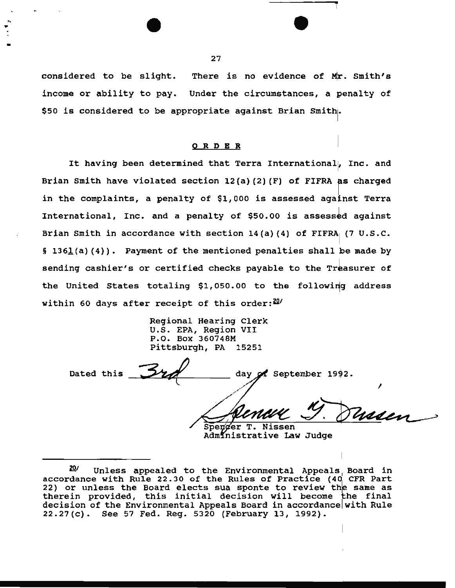considered to be slight. There is no evidence of Mr. Smith's income or ability to pay. Under the circumstances, a penalty of \$50 is considered to be appropriate against Brian Smith.

### 0 R DE R

It having been determined that Terra International, Inc. and Brian Smith have violated section  $12(a)$  (2) (F) of FIFRA as charged in the complaints, a penalty of \$1,000 is assessed against Terra International, Inc. and a penalty of \$50.00 is assessed against Brian Smith in accordance with section  $14(a)$  (4) of FIFRA (7 U.S.C. § 136 $I_{\text{A}}$ (a) (4)). Payment of the mentioned penalties shall be made by sending cashier's or certified checks payable to the Treasurer of the United States totaling \$1,050.00 to the following address within 60 days after receipt of this order: $20/$ 

> Regional Hearing Clerk U.S. EPA, Region VII P.O. Box 360748M Pittsburgh, PA 15251

Dated this day of September 1992. Waxen Spenger T. Nissen

Administrative Law Judge

 $\overline{\phantom{a}}$  27

.,

<sup>&</sup>lt;u>20</u>/ Unless appealed to the Environmental Appeals<sub>,</sub> Board in accordance with Rule 22.30 of the Rules of Practice (40 CFR Part 22) or unless the Board elects sua sponte to review the same as therein provided, this initial decision will become the final decision of the Environmental Appeals Board in accordance with Rule 22.27(c). See 57 Fed. Reg. 5320 (February 13, 1992).